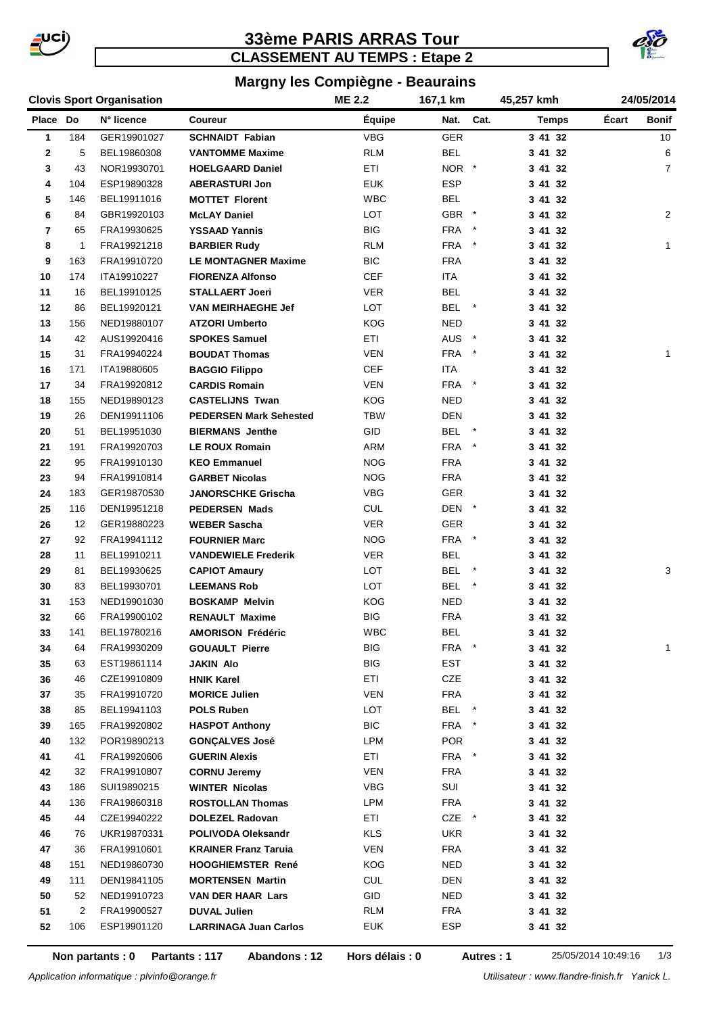

# **33ème PARIS ARRAS Tour CLASSEMENT AU TEMPS : Etape 2**



### **Margny les Compiègne - Beaurains**

|  |  |  | <b>Clovis Sport Organisation</b> |
|--|--|--|----------------------------------|
|--|--|--|----------------------------------|

|             |              | <b>ME 2.2</b><br><b>Clovis Sport Organisation</b> |                               |            | 167,1 km              | 45,257 kmh   |       | 24/05/2014     |  |
|-------------|--------------|---------------------------------------------------|-------------------------------|------------|-----------------------|--------------|-------|----------------|--|
| Place Do    |              | N° licence                                        | Coureur                       | Équipe     | Nat. Cat.             | <b>Temps</b> | Écart | Bonif          |  |
| 1           | 184          | GER19901027                                       | <b>SCHNAIDT Fabian</b>        | <b>VBG</b> | GER                   | 3 41 32      |       | 10             |  |
| $\mathbf 2$ | 5            | BEL19860308                                       | <b>VANTOMME Maxime</b>        | <b>RLM</b> | <b>BEL</b>            | 3 41 32      |       | 6              |  |
| 3           | 43           | NOR19930701                                       | <b>HOELGAARD Daniel</b>       | ETI        | NOR *                 | 3 41 32      |       | $\overline{7}$ |  |
| 4           | 104          | ESP19890328                                       | <b>ABERASTURI Jon</b>         | <b>EUK</b> | <b>ESP</b>            | 3 41 32      |       |                |  |
| 5           | 146          | BEL19911016                                       | <b>MOTTET Florent</b>         | <b>WBC</b> | <b>BEL</b>            | 3 41 32      |       |                |  |
| 6           | 84           | GBR19920103                                       | <b>McLAY Daniel</b>           | LOT        | GBR *                 | 3 41 32      |       | $\overline{2}$ |  |
| 7           | 65           | FRA19930625                                       | <b>YSSAAD Yannis</b>          | <b>BIG</b> | <b>FRA</b>            | 3 41 32      |       |                |  |
| 8           | $\mathbf{1}$ | FRA19921218                                       | <b>BARBIER Rudy</b>           | <b>RLM</b> | FRA *                 | 3 41 32      |       | $\mathbf{1}$   |  |
| 9           | 163          | FRA19910720                                       | <b>LE MONTAGNER Maxime</b>    | <b>BIC</b> | <b>FRA</b>            | 3 41 32      |       |                |  |
| 10          | 174          | ITA19910227                                       | <b>FIORENZA Alfonso</b>       | <b>CEF</b> | ITA                   | 3 41 32      |       |                |  |
| 11          | 16           | BEL19910125                                       | <b>STALLAERT Joeri</b>        | VER.       | <b>BEL</b>            | 3 41 32      |       |                |  |
| 12          | 86           | BEL19920121                                       | <b>VAN MEIRHAEGHE Jef</b>     | LOT        | BEL *                 | 3 41 32      |       |                |  |
| 13          | 156          | NED19880107                                       | <b>ATZORI Umberto</b>         | <b>KOG</b> | <b>NED</b>            | 3 41 32      |       |                |  |
| 14          | 42           | AUS19920416                                       | <b>SPOKES Samuel</b>          | ETI        | AUS *                 | 3 41 32      |       |                |  |
| 15          | 31           | FRA19940224                                       | <b>BOUDAT Thomas</b>          | <b>VEN</b> | <b>FRA</b><br>$\star$ | 3 41 32      |       | 1              |  |
| 16          | 171          | ITA19880605                                       | <b>BAGGIO Filippo</b>         | <b>CEF</b> | ITA                   | 3 41 32      |       |                |  |
| 17          | 34           | FRA19920812                                       | <b>CARDIS Romain</b>          | <b>VEN</b> | FRA *                 | 3 41 32      |       |                |  |
| 18          | 155          | NED19890123                                       | <b>CASTELIJNS Twan</b>        | <b>KOG</b> | <b>NED</b>            | 3 41 32      |       |                |  |
| 19          | 26           | DEN19911106                                       | <b>PEDERSEN Mark Sehested</b> | TBW        | <b>DEN</b>            | 3 41 32      |       |                |  |
| 20          | 51           | BEL19951030                                       | <b>BIERMANS Jenthe</b>        | GID        | <b>BEL</b><br>$\star$ | 3 41 32      |       |                |  |
| 21          | 191          | FRA19920703                                       | <b>LE ROUX Romain</b>         | ARM        | FRA *                 | 3 41 32      |       |                |  |
| 22          | 95           | FRA19910130                                       | <b>KEO Emmanuel</b>           | <b>NOG</b> | FRA                   | 3 41 32      |       |                |  |
| 23          | 94           | FRA19910814                                       | <b>GARBET Nicolas</b>         | <b>NOG</b> | <b>FRA</b>            | 3 41 32      |       |                |  |
| 24          | 183          | GER19870530                                       | <b>JANORSCHKE Grischa</b>     | <b>VBG</b> | <b>GER</b>            | 3 41 32      |       |                |  |
| 25          | 116          | DEN19951218                                       | <b>PEDERSEN Mads</b>          | <b>CUL</b> | DEN *                 | 3 41 32      |       |                |  |
| 26          | 12           | GER19880223                                       | <b>WEBER Sascha</b>           | <b>VER</b> | <b>GER</b>            | 3 41 32      |       |                |  |
| 27          | 92           | FRA19941112                                       | <b>FOURNIER Marc</b>          | <b>NOG</b> | FRA *                 | 3 41 32      |       |                |  |
| 28          | 11           | BEL19910211                                       | <b>VANDEWIELE Frederik</b>    | <b>VER</b> | <b>BEL</b>            | 3 41 32      |       |                |  |
| 29          | 81           | BEL19930625                                       | <b>CAPIOT Amaury</b>          | LOT        | <b>BEL</b><br>$\star$ | 3 41 32      |       | 3              |  |
| 30          | 83           | BEL19930701                                       | <b>LEEMANS Rob</b>            | LOT        | <b>BEL</b>            | 3 41 32      |       |                |  |
| 31          | 153          | NED19901030                                       | <b>BOSKAMP Melvin</b>         | <b>KOG</b> | <b>NED</b>            | 3 41 32      |       |                |  |
| 32          | 66           | FRA19900102                                       | <b>RENAULT Maxime</b>         | <b>BIG</b> | <b>FRA</b>            | 3 41 32      |       |                |  |
| 33          | 141          | BEL19780216                                       | <b>AMORISON Frédéric</b>      | <b>WBC</b> | <b>BEL</b>            | 3 41 32      |       |                |  |
| 34          | 64           | FRA19930209                                       | <b>GOUAULT Pierre</b>         | BIG        | FRA *                 | 3 41 32      |       | 1              |  |
| 35          | 63           | EST19861114                                       | <b>JAKIN Alo</b>              | <b>BIG</b> | <b>EST</b>            | 3 41 32      |       |                |  |
| 36          | 46           | CZE19910809                                       | <b>HNIK Karel</b>             | ETI        | CZE                   | 3 41 32      |       |                |  |
| 37          | 35           | FRA19910720                                       | <b>MORICE Julien</b>          | <b>VEN</b> | <b>FRA</b>            | 3 41 32      |       |                |  |
| 38          | 85           | BEL19941103                                       | <b>POLS Ruben</b>             | LOT        | BEL                   | 3 41 32      |       |                |  |
| 39          | 165          | FRA19920802                                       | <b>HASPOT Anthony</b>         | <b>BIC</b> | FRA *                 | 3 41 32      |       |                |  |
| 40          | 132          | POR19890213                                       | <b>GONÇALVES José</b>         | LPM        | <b>POR</b>            | 3 41 32      |       |                |  |
| 41          | 41           | FRA19920606                                       | <b>GUERIN Alexis</b>          | ETI        | FRA *                 | 3 41 32      |       |                |  |
| 42          | 32           | FRA19910807                                       | <b>CORNU Jeremy</b>           | <b>VEN</b> | <b>FRA</b>            | 3 41 32      |       |                |  |
| 43          | 186          | SUI19890215                                       | <b>WINTER Nicolas</b>         | VBG        | SUI                   | 3 41 32      |       |                |  |
| 44          | 136          | FRA19860318                                       | <b>ROSTOLLAN Thomas</b>       | LPM        | FRA                   | 3 41 32      |       |                |  |
| 45          | 44           | CZE19940222                                       | <b>DOLEZEL Radovan</b>        | ETI        | CZE *                 | 3 41 32      |       |                |  |
| 46          | 76           | UKR19870331                                       | <b>POLIVODA Oleksandr</b>     | <b>KLS</b> | UKR                   | 3 41 32      |       |                |  |
| 47          | 36           | FRA19910601                                       | <b>KRAINER Franz Taruia</b>   | VEN        | FRA                   | 3 41 32      |       |                |  |
| 48          | 151          | NED19860730                                       | <b>HOOGHIEMSTER René</b>      | KOG        | NED                   | 3 41 32      |       |                |  |
| 49          | 111          | DEN19841105                                       | <b>MORTENSEN Martin</b>       | <b>CUL</b> | DEN                   | 3 41 32      |       |                |  |
| 50          | 52           | NED19910723                                       | <b>VAN DER HAAR Lars</b>      | GID        | NED                   | 3 41 32      |       |                |  |
| 51          | 2            | FRA19900527                                       | <b>DUVAL Julien</b>           | <b>RLM</b> | FRA                   | 3 41 32      |       |                |  |
| 52          | 106          | ESP19901120                                       | <b>LARRINAGA Juan Carlos</b>  | EUK        | ESP                   | 3 41 32      |       |                |  |
|             |              |                                                   |                               |            |                       |              |       |                |  |

**Hors délais : 0**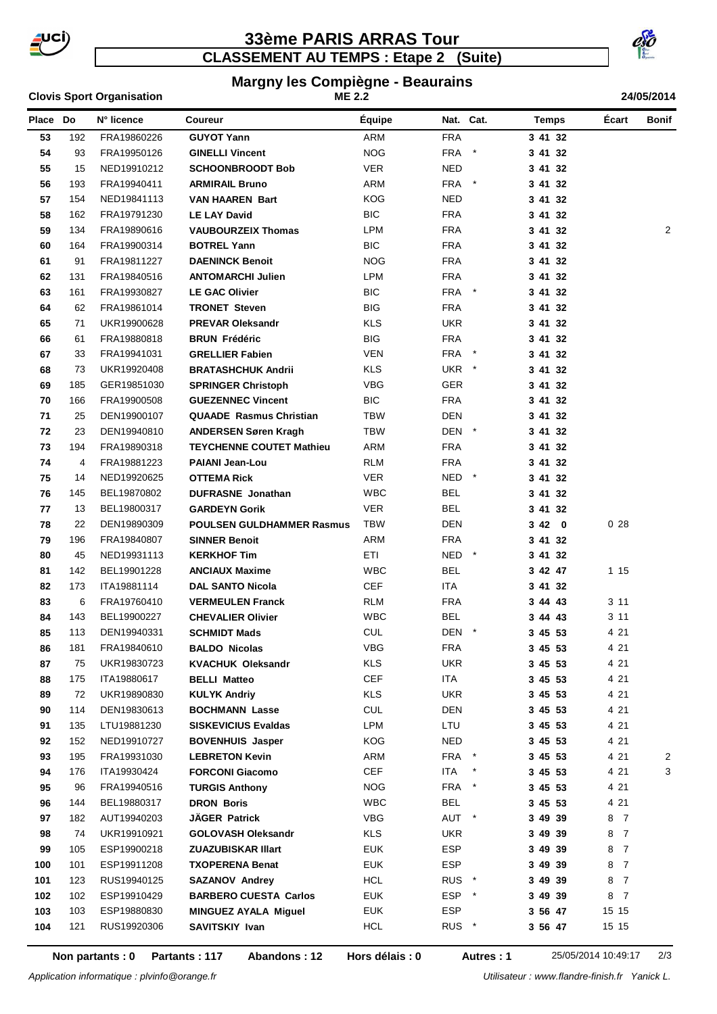

### **CLASSEMENT AU TEMPS : Etape 2 (Suite) 33ème PARIS ARRAS Tour**



# **Margny les Compiègne - Beaurains**

|          |     | <b>Clovis Sport Organisation</b> | <b>ME 2.2</b>                    |            |                  |            | 24/05/2014   |                     |                |  |
|----------|-----|----------------------------------|----------------------------------|------------|------------------|------------|--------------|---------------------|----------------|--|
| Place Do |     | N° licence                       | Coureur                          | Équipe     |                  | Nat. Cat.  | <b>Temps</b> | Écart               | Bonif          |  |
| 53       | 192 | FRA19860226                      | <b>GUYOT Yann</b>                | ARM        | <b>FRA</b>       |            | 3 41 32      |                     |                |  |
| 54       | 93  | FRA19950126                      | <b>GINELLI Vincent</b>           | <b>NOG</b> | FRA              | $^{\star}$ | 3 41 32      |                     |                |  |
| 55       | 15  | NED19910212                      | <b>SCHOONBROODT Bob</b>          | <b>VER</b> | NED              |            | 3 41 32      |                     |                |  |
| 56       | 193 | FRA19940411                      | <b>ARMIRAIL Bruno</b>            | ARM        | FRA *            |            | 3 41 32      |                     |                |  |
| 57       | 154 | NED19841113                      | <b>VAN HAAREN Bart</b>           | <b>KOG</b> | <b>NED</b>       |            | 3 41 32      |                     |                |  |
| 58       | 162 | FRA19791230                      | <b>LE LAY David</b>              | <b>BIC</b> | <b>FRA</b>       |            | 3 41 32      |                     |                |  |
| 59       | 134 | FRA19890616                      | <b>VAUBOURZEIX Thomas</b>        | <b>LPM</b> | <b>FRA</b>       |            | 3 41 32      |                     | $\overline{2}$ |  |
| 60       | 164 | FRA19900314                      | <b>BOTREL Yann</b>               | <b>BIC</b> | <b>FRA</b>       |            | 3 41 32      |                     |                |  |
| 61       | 91  | FRA19811227                      | <b>DAENINCK Benoit</b>           | <b>NOG</b> | <b>FRA</b>       |            | 3 41 32      |                     |                |  |
| 62       | 131 | FRA19840516                      | <b>ANTOMARCHI Julien</b>         | LPM        | FRA              |            | 3 41 32      |                     |                |  |
| 63       | 161 | FRA19930827                      | <b>LE GAC Olivier</b>            | <b>BIC</b> | FRA *            |            | 3 41 32      |                     |                |  |
| 64       | 62  | FRA19861014                      | <b>TRONET Steven</b>             | <b>BIG</b> | <b>FRA</b>       |            | 3 41 32      |                     |                |  |
| 65       | 71  | UKR19900628                      | <b>PREVAR Oleksandr</b>          | <b>KLS</b> | <b>UKR</b>       |            | 3 41 32      |                     |                |  |
| 66       | 61  | FRA19880818                      | <b>BRUN Frédéric</b>             | <b>BIG</b> | <b>FRA</b>       |            | 3 41 32      |                     |                |  |
| 67       | 33  | FRA19941031                      | <b>GRELLIER Fabien</b>           | <b>VEN</b> | FRA              | $\star$    | 3 41 32      |                     |                |  |
| 68       | 73  | UKR19920408                      | <b>BRATASHCHUK Andrii</b>        | <b>KLS</b> | UKR *            |            | 3 41 32      |                     |                |  |
| 69       | 185 | GER19851030                      | <b>SPRINGER Christoph</b>        | VBG        | <b>GER</b>       |            | 3 41 32      |                     |                |  |
| 70       | 166 | FRA19900508                      | <b>GUEZENNEC Vincent</b>         | <b>BIC</b> | <b>FRA</b>       |            | 3 41 32      |                     |                |  |
| 71       | 25  | DEN19900107                      | <b>QUAADE Rasmus Christian</b>   | TBW        | <b>DEN</b>       |            | 3 41 32      |                     |                |  |
| 72       | 23  | DEN19940810                      | <b>ANDERSEN Søren Kragh</b>      | <b>TBW</b> | DEN *            |            | 3 41 32      |                     |                |  |
| 73       | 194 | FRA19890318                      | <b>TEYCHENNE COUTET Mathieu</b>  | ARM        | <b>FRA</b>       |            | 3 41 32      |                     |                |  |
| 74       | 4   | FRA19881223                      | <b>PAIANI Jean-Lou</b>           | <b>RLM</b> | <b>FRA</b>       |            | 3 41 32      |                     |                |  |
| 75       | 14  | NED19920625                      | OTTEMA Rick                      | VER.       | NED *            |            | 3 41 32      |                     |                |  |
| 76       | 145 | BEL19870802                      | <b>DUFRASNE</b> Jonathan         | <b>WBC</b> | BEL              |            | 3 41 32      |                     |                |  |
| 77       | 13  | BEL19800317                      | <b>GARDEYN Gorik</b>             | <b>VER</b> | <b>BEL</b>       |            | 3 41 32      |                     |                |  |
| 78       | 22  | DEN19890309                      | <b>POULSEN GULDHAMMER Rasmus</b> | TBW        | DEN              |            | 3420         | 028                 |                |  |
| 79       | 196 | FRA19840807                      | <b>SINNER Benoit</b>             | ARM        | <b>FRA</b>       |            | 3 41 32      |                     |                |  |
| 80       | 45  | NED19931113                      | <b>KERKHOF Tim</b>               | ETI        | NED *            |            | 3 41 32      |                     |                |  |
| 81       | 142 | BEL19901228                      | <b>ANCIAUX Maxime</b>            | <b>WBC</b> | <b>BEL</b>       |            | 3 42 47      | 1 15                |                |  |
| 82       | 173 | ITA19881114                      | <b>DAL SANTO Nicola</b>          | CEF        | ITA              |            | 3 41 32      |                     |                |  |
| 83       | 6   | FRA19760410                      | <b>VERMEULEN Franck</b>          | <b>RLM</b> | <b>FRA</b>       |            | 3 44 43      | 311                 |                |  |
| 84       | 143 | BEL19900227                      | <b>CHEVALIER Olivier</b>         | <b>WBC</b> | <b>BEL</b>       |            | 34443        | 311                 |                |  |
| 85       | 113 | DEN19940331                      | <b>SCHMIDT Mads</b>              | <b>CUL</b> | DEN *            |            | 3 45 53      | 4 21                |                |  |
| 86       | 181 | FRA19840610                      | <b>BALDO Nicolas</b>             | <b>VBG</b> | FRA              |            | 3 45 53      | 4 21                |                |  |
| 87       | 75  | UKR19830723                      | <b>KVACHUK Oleksandr</b>         | KLS        | UKR              |            | 3 45 53      | 4 21                |                |  |
| 88       | 175 | ITA19880617                      | <b>BELLI Matteo</b>              | <b>CEF</b> | ITA              |            | 3 45 53      | 4 21                |                |  |
| 89       | 72  | UKR19890830                      | <b>KULYK Andriy</b>              | <b>KLS</b> | <b>UKR</b>       |            | 3 45 53      | 4 21                |                |  |
| 90       | 114 | DEN19830613                      | <b>BOCHMANN Lasse</b>            | <b>CUL</b> | DEN              |            | 3 45 53      | 4 21                |                |  |
| 91       | 135 | LTU19881230                      | <b>SISKEVICIUS Evaldas</b>       | LPM        | LTU              |            | 3 45 53      | 4 21                |                |  |
| 92       | 152 | NED19910727                      | <b>BOVENHUIS Jasper</b>          | KOG        | <b>NED</b>       |            | 34553        | 4 21                |                |  |
| 93       | 195 | FRA19931030                      | <b>LEBRETON Kevin</b>            | ARM        | FRA *            |            | 3 45 53      | 4 21                | 2              |  |
| 94       | 176 | ITA19930424                      | <b>FORCONI Giacomo</b>           | <b>CEF</b> | ITA              | $\ast$     | 3 45 53      | 4 21                | 3              |  |
| 95       | 96  | FRA19940516                      | <b>TURGIS Anthony</b>            | <b>NOG</b> | FRA              | $\star$    | 3 45 53      | 4 21                |                |  |
| 96       | 144 | BEL19880317                      | <b>DRON Boris</b>                | <b>WBC</b> | <b>BEL</b>       |            | 3 45 53      | 4 21                |                |  |
| 97       | 182 | AUT19940203                      | JÄGER Patrick                    | <b>VBG</b> | AUT *            |            | 3 49 39      | 87                  |                |  |
| 98       | 74  | UKR19910921                      | <b>GOLOVASH Oleksandr</b>        | <b>KLS</b> | UKR              |            | 3 49 39      | 8 7                 |                |  |
| 99       | 105 | ESP19900218                      | <b>ZUAZUBISKAR Illart</b>        | <b>EUK</b> | <b>ESP</b>       |            | 3 49 39      | 8<br>$\overline{7}$ |                |  |
| 100      | 101 | ESP19911208                      | <b>TXOPERENA Benat</b>           | <b>EUK</b> | ESP              |            | 3 49 39      | 8<br>$\overline{7}$ |                |  |
| 101      | 123 | RUS19940125                      | <b>SAZANOV Andrey</b>            | <b>HCL</b> | RUS <sup>*</sup> |            | 3 49 39      | 8<br>$\overline{7}$ |                |  |
| 102      | 102 | ESP19910429                      | <b>BARBERO CUESTA Carlos</b>     | <b>EUK</b> | ESP *            |            | 34939        | 8 7                 |                |  |
| 103      | 103 | ESP19880830                      | <b>MINGUEZ AYALA Miguel</b>      | <b>EUK</b> | <b>ESP</b>       |            | 3 56 47      | 15 15               |                |  |
| 104      | 121 | RUS19920306                      | SAVITSKIY Ivan                   | <b>HCL</b> | RUS <sup>*</sup> |            | 3 56 47      | 15 15               |                |  |
|          |     |                                  |                                  |            |                  |            |              |                     |                |  |

**Non partants : 0 Partants : 117 Abandons : 12 Autres : 1** 25/05/2014 10:49:17 2/3

**Hors délais : 0**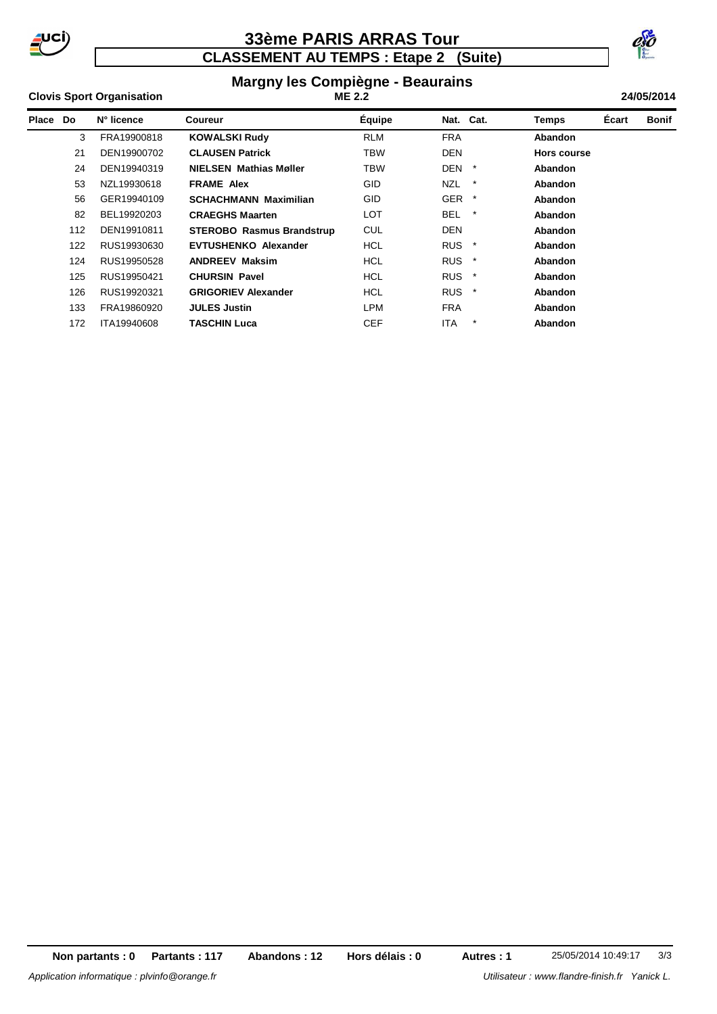

### **CLASSEMENT AU TEMPS : Etape 2 (Suite) 33ème PARIS ARRAS Tour**



#### **Margny les Compiègne - Beaurains Clovis Sport Organisation 24/05/2014 ME 2.2**

| Place | Do  | N° licence  | Coureur                          | <b>Équipe</b> | Nat. Cat.             |         | <b>Temps</b> | Écart | <b>Bonif</b> |
|-------|-----|-------------|----------------------------------|---------------|-----------------------|---------|--------------|-------|--------------|
|       | 3   | FRA19900818 | <b>KOWALSKI Rudy</b>             | <b>RLM</b>    | <b>FRA</b>            |         | Abandon      |       |              |
|       | 21  | DEN19900702 | <b>CLAUSEN Patrick</b>           | <b>TBW</b>    | <b>DEN</b>            |         | Hors course  |       |              |
|       | 24  | DEN19940319 | <b>NIELSEN Mathias Møller</b>    | TBW           | <b>DEN</b>            | $\ast$  | Abandon      |       |              |
|       | 53  | NZL19930618 | <b>FRAME Alex</b>                | <b>GID</b>    | <b>NZL</b>            | $\star$ | Abandon      |       |              |
|       | 56  | GER19940109 | <b>SCHACHMANN Maximilian</b>     | <b>GID</b>    | GER *                 |         | Abandon      |       |              |
|       | 82  | BEL19920203 | <b>CRAEGHS Maarten</b>           | LOT           | <b>BEL</b>            | $\ast$  | Abandon      |       |              |
|       | 112 | DEN19910811 | <b>STEROBO Rasmus Brandstrup</b> | <b>CUL</b>    | <b>DEN</b>            |         | Abandon      |       |              |
|       | 122 | RUS19930630 | <b>EVTUSHENKO Alexander</b>      | HCL           | RUS <sup>*</sup>      |         | Abandon      |       |              |
|       | 124 | RUS19950528 | <b>ANDREEV Maksim</b>            | HCL           | <b>RUS</b>            | $\star$ | Abandon      |       |              |
|       | 125 | RUS19950421 | <b>CHURSIN Pavel</b>             | HCL           | <b>RUS</b><br>$\star$ |         | Abandon      |       |              |
|       | 126 | RUS19920321 | <b>GRIGORIEV Alexander</b>       | HCL           | RUS <sup>*</sup>      |         | Abandon      |       |              |
|       | 133 | FRA19860920 | <b>JULES Justin</b>              | <b>LPM</b>    | <b>FRA</b>            |         | Abandon      |       |              |
|       | 172 | ITA19940608 | TASCHIN Luca                     | <b>CEF</b>    | ITA                   | $\star$ | Abandon      |       |              |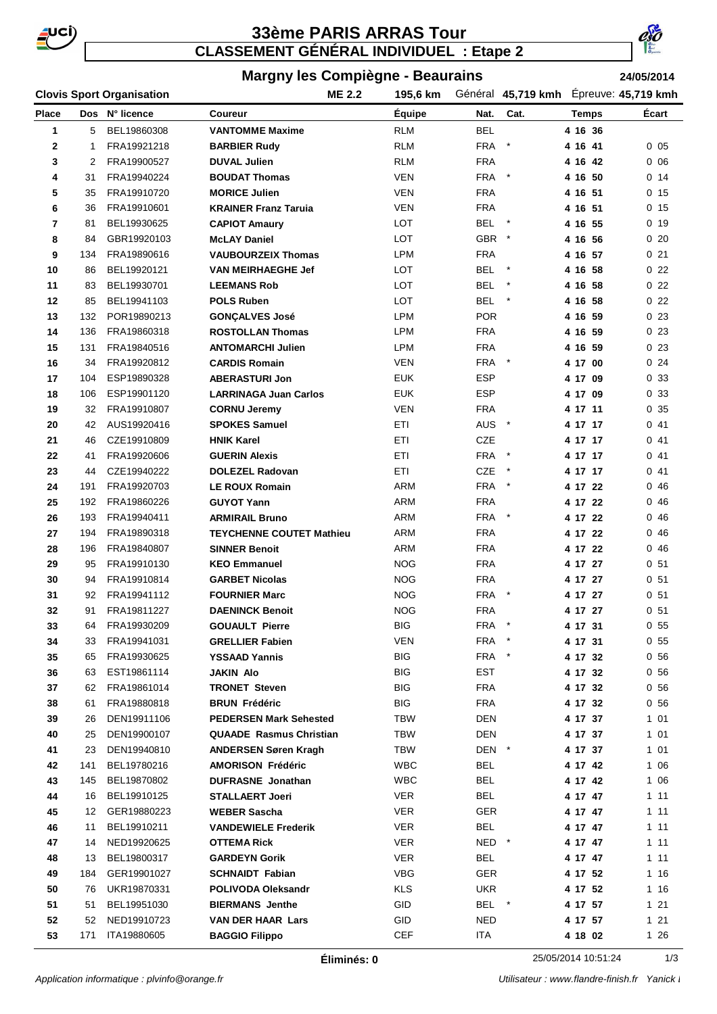

### **33ème PARIS ARRAS Tour CLASSEMENT GÉNÉRAL INDIVIDUEL : Etape 2**



#### **Margny les Compiègne - Beaurains**

**24/05/2014**

#### **Clovis Sport Organisation 195,6 km 45,719 kmh Place Dos Coureur Équipe N° licence Cat. Temps Écart Nat. ME 2.2** 195,6 km Général 45,719 kmh Épreuve: 45,719 kmh 5 BEL19860308 **VANTOMME Maxime** RLM BEL **4 16 36** 1 FRA19921218 **BARBIER Rudy** RLM FRA \* **4 16 41** 0 05 2 FRA19900527 **DUVAL Julien** RLM FRA **4 16 42** 0 06 31 FRA19940224 **BOUDAT Thomas** VEN FRA \* **4 16 50** 0 14 35 FRA19910720 **MORICE Julien** VEN FRA **4 16 51** 0 15 36 FRA19910601 **KRAINER Franz Taruia** VEN FRA **4 16 51** 0 15 81 BEL19930625 **CAPIOT Amaury** LOT BEL \* **4 16 55** 0 19 84 GBR19920103 **McLAY Daniel** LOT GBR \* **4 16 56** 0 20 134 FRA19890616 **VAUBOURZEIX Thomas** LPM FRA **4 16 57** 0 21 86 BEL19920121 **VAN MEIRHAEGHE Jef** LOT BEL \* **4 16 58** 0 22 83 BEL19930701 **LEEMANS Rob** LOT BEL \* **4 16 58** 0 22 85 BEL19941103 **POLS Ruben** LOT BEL \* **4 16 58** 0 22 132 POR19890213 **GONÇALVES José** LPM POR **4 16 59** 0 23 136 FRA19860318 **ROSTOLLAN Thomas** LPM FRA **4 16 59** 0 23 131 FRA19840516 **ANTOMARCHI Julien** LPM FRA **4 16 59** 0 23 34 FRA19920812 **CARDIS Romain** VEN FRA \* **4 17 00** 0 24 104 ESP19890328 **ABERASTURI Jon** EUK ESP **4 17 09** 0 33 106 ESP19901120 **LARRINAGA Juan Carlos** EUK ESP **4 17 09** 0 33 32 FRA19910807 **CORNU Jeremy** VEN FRA **4 17 11** 0 35 42 AUS19920416 **SPOKES Samuel** ETI AUS \* **4 17 17** 0 41 46 CZE19910809 **HNIK Karel** ETI CZE **4 17 17** 0 41 41 FRA19920606 **GUERIN Alexis** ETI FRA \* **4 17 17** 0 41 44 CZE19940222 **DOLEZEL Radovan** ETI CZE \* **4 17 17** 0 41 191 FRA19920703 **LE ROUX Romain** ARM FRA \* **4 17 22** 0 46 192 FRA19860226 **GUYOT Yann** ARM FRA **4 17 22** 0 46 193 FRA19940411 **ARMIRAIL Bruno** ARM FRA \* **4 17 22** 0 46 194 FRA19890318 **TEYCHENNE COUTET Mathieu** ARM FRA **4 17 22** 0 46 196 FRA19840807 **SINNER Benoit** ARM FRA **4 17 22** 0 46 95 FRA19910130 **KEO Emmanuel** NOG FRA **4 17 27** 0 51 94 FRA19910814 **GARBET Nicolas** NOG FRA **4 17 27** 0 51 92 FRA19941112 **FOURNIER Marc** NOG FRA \* **4 17 27** 0 51 91 FRA19811227 **DAENINCK Benoit** NOG FRA **4 17 27** 0 51 64 FRA19930209 **GOUAULT Pierre** BIG FRA \* **4 17 31** 0 55 33 FRA19941031 **GRELLIER Fabien** VEN FRA \* **4 17 31** 0 55 65 FRA19930625 **YSSAAD Yannis** BIG FRA \* **4 17 32** 0 56 63 EST19861114 **JAKIN Alo** BIG EST **4 17 32** 0 56 62 FRA19861014 **TRONET Steven** BIG FRA **4 17 32** 0 56 61 FRA19880818 **BRUN Frédéric** BIG FRA **4 17 32** 0 56 26 DEN19911106 **PEDERSEN Mark Sehested** TBW DEN **4 17 37** 1 01 25 DEN19900107 **QUAADE Rasmus Christian** TBW DEN **4 17 37** 1 01 23 DEN19940810 **ANDERSEN Søren Kragh** TBW DEN \* **4 17 37** 1 01 141 BEL19780216 **AMORISON Frédéric** WBC BEL **4 17 42** 1 06 145 BEL19870802 **DUFRASNE Jonathan** WBC BEL **4 17 42** 1 06 16 BEL19910125 **STALLAERT Joeri** VER BEL **4 17 47** 1 11 12 GER19880223 **WEBER Sascha** VER GER **4 17 47** 1 11 11 BEL19910211 **VANDEWIELE Frederik** VER BEL **4 17 47** 1 11 14 NED19920625 **OTTEMA Rick** VER NED \* **4 17 47** 1 11 13 BEL19800317 **GARDEYN Gorik** VER BEL **4 17 47** 1 11 184 GER19901027 **SCHNAIDT Fabian** VBG GER **4 17 52** 1 16 76 UKR19870331 **POLIVODA Oleksandr** KLS UKR **4 17 52** 1 16 51 BEL19951030 **BIERMANS Jenthe** GID BEL \* **4 17 57** 1 21 52 NED19910723 **VAN DER HAAR Lars** GID NED **4 17 57** 1 21 171 ITA19880605 **BAGGIO Filippo** CEF ITA **4 18 02** 1 26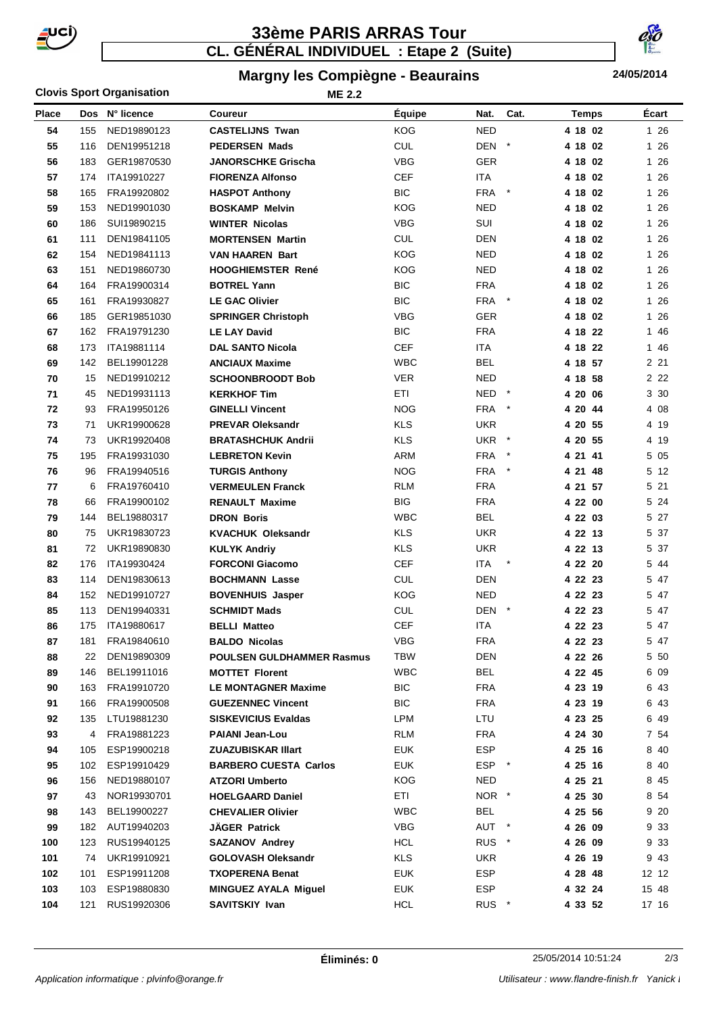

# **CL. GÉNÉRAL INDIVIDUEL : Etape 2 (Suite) 33ème PARIS ARRAS Tour**



### **Margny les Compiègne - Beaurains**

**ME 2.2**

**24/05/2014**

#### **Clovis Sport Organisation**

| <b>Place</b> |     | Dos N° licence | <b>Coureur</b>                   | Équipe     | Nat.             | Cat.    | <b>Temps</b> | Écart |
|--------------|-----|----------------|----------------------------------|------------|------------------|---------|--------------|-------|
| 54           | 155 | NED19890123    | <b>CASTELIJNS Twan</b>           | <b>KOG</b> | <b>NED</b>       |         | 4 18 02      | 1 26  |
| 55           | 116 | DEN19951218    | <b>PEDERSEN Mads</b>             | <b>CUL</b> | DEN *            |         | 4 18 02      | 1 26  |
| 56           | 183 | GER19870530    | <b>JANORSCHKE Grischa</b>        | <b>VBG</b> | GER              |         | 4 18 02      | 1 26  |
| 57           | 174 | ITA19910227    | <b>FIORENZA Alfonso</b>          | <b>CEF</b> | <b>ITA</b>       |         | 4 18 02      | 1 26  |
| 58           | 165 | FRA19920802    | <b>HASPOT Anthony</b>            | <b>BIC</b> | <b>FRA</b>       | $\star$ | 4 18 02      | 1 26  |
| 59           | 153 | NED19901030    | <b>BOSKAMP Melvin</b>            | <b>KOG</b> | <b>NED</b>       |         | 4 18 02      | 1 26  |
| 60           | 186 | SUI19890215    | <b>WINTER Nicolas</b>            | <b>VBG</b> | SUI              |         | 4 18 02      | 1 26  |
| 61           | 111 | DEN19841105    | <b>MORTENSEN Martin</b>          | <b>CUL</b> | <b>DEN</b>       |         | 4 18 02      | 1 26  |
| 62           | 154 | NED19841113    | <b>VAN HAAREN Bart</b>           | <b>KOG</b> | <b>NED</b>       |         | 4 18 02      | 1 26  |
| 63           | 151 | NED19860730    | <b>HOOGHIEMSTER René</b>         | <b>KOG</b> | <b>NED</b>       |         | 4 18 02      | 1 26  |
| 64           | 164 | FRA19900314    | <b>BOTREL Yann</b>               | <b>BIC</b> | <b>FRA</b>       |         | 4 18 02      | 1 26  |
| 65           | 161 | FRA19930827    | <b>LE GAC Olivier</b>            | <b>BIC</b> | FRA *            |         | 4 18 02      | 1 26  |
| 66           | 185 | GER19851030    | <b>SPRINGER Christoph</b>        | <b>VBG</b> | GER              |         | 4 18 02      | 1 26  |
| 67           | 162 | FRA19791230    | <b>LE LAY David</b>              | <b>BIC</b> | <b>FRA</b>       |         | 4 18 22      | 1 46  |
| 68           | 173 | ITA19881114    | <b>DAL SANTO Nicola</b>          | <b>CEF</b> | <b>ITA</b>       |         | 4 18 22      | 1 46  |
| 69           | 142 | BEL19901228    | <b>ANCIAUX Maxime</b>            | <b>WBC</b> | <b>BEL</b>       |         | 4 18 57      | 2 2 1 |
| 70           | 15  | NED19910212    | <b>SCHOONBROODT Bob</b>          | <b>VER</b> | <b>NED</b>       |         | 4 18 58      | 2 2 2 |
| 71           | 45  | NED19931113    | <b>KERKHOF Tim</b>               | <b>ETI</b> | <b>NED</b>       |         | 4 20 06      | 3 30  |
| 72           | 93  | FRA19950126    | <b>GINELLI Vincent</b>           | <b>NOG</b> | <b>FRA</b>       |         | 4 20 44      | 4 08  |
| 73           | 71  | UKR19900628    | <b>PREVAR Oleksandr</b>          | <b>KLS</b> | <b>UKR</b>       |         | 4 20 55      | 4 19  |
| 74           | 73  | UKR19920408    | <b>BRATASHCHUK Andrii</b>        | <b>KLS</b> | UKR *            |         | 4 20 55      | 4 19  |
| 75           | 195 | FRA19931030    | <b>LEBRETON Kevin</b>            | ARM        | FRA              | $\star$ | 4 21 41      | 5 05  |
| 76           | 96  | FRA19940516    | <b>TURGIS Anthony</b>            | <b>NOG</b> | FRA *            |         | 4 21 48      | 5 12  |
| 77           | 6   | FRA19760410    | <b>VERMEULEN Franck</b>          | <b>RLM</b> | <b>FRA</b>       |         | 4 21 57      | 5 21  |
| 78           | 66  | FRA19900102    | <b>RENAULT Maxime</b>            | <b>BIG</b> | <b>FRA</b>       |         | 4 22 00      | 5 24  |
| 79           | 144 | BEL19880317    | <b>DRON Boris</b>                | <b>WBC</b> | <b>BEL</b>       |         | 4 22 03      | 5 27  |
| 80           | 75  | UKR19830723    | <b>KVACHUK Oleksandr</b>         | <b>KLS</b> | <b>UKR</b>       |         | 4 22 13      | 5 37  |
| 81           | 72  | UKR19890830    | <b>KULYK Andriy</b>              | <b>KLS</b> | <b>UKR</b>       |         | 4 22 13      | 5 37  |
| 82           | 176 | ITA19930424    | <b>FORCONI Giacomo</b>           | <b>CEF</b> | <b>ITA</b>       |         | 4 22 20      | 5 44  |
| 83           | 114 | DEN19830613    | <b>BOCHMANN Lasse</b>            | <b>CUL</b> | <b>DEN</b>       |         | 4 22 23      | 5 47  |
| 84           | 152 | NED19910727    | <b>BOVENHUIS Jasper</b>          | <b>KOG</b> | <b>NED</b>       |         | 4 22 23      | 5 47  |
| 85           | 113 | DEN19940331    | <b>SCHMIDT Mads</b>              | CUL        | DEN *            |         | 4 22 23      | 547   |
| 86           | 175 | ITA19880617    | <b>BELLI Matteo</b>              | <b>CEF</b> | <b>ITA</b>       |         | 4 22 23      | 5 47  |
| 87           | 181 | FRA19840610    | <b>BALDO Nicolas</b>             | VBG        | <b>FRA</b>       |         | 4 22 23      | 5 47  |
| 88           | 22  | DEN19890309    | <b>POULSEN GULDHAMMER Rasmus</b> | TBW        | <b>DEN</b>       |         | 4 22 26      | 5 50  |
| 89           | 146 | BEL19911016    | <b>MOTTET Florent</b>            | <b>WBC</b> | <b>BEL</b>       |         | 4 22 45      | 6 09  |
| 90           | 163 | FRA19910720    | <b>LE MONTAGNER Maxime</b>       | <b>BIC</b> | <b>FRA</b>       |         | 4 23 19      | 643   |
| 91           | 166 | FRA19900508    | <b>GUEZENNEC Vincent</b>         | <b>BIC</b> | <b>FRA</b>       |         | 4 23 19      | 643   |
| 92           | 135 | LTU19881230    | <b>SISKEVICIUS Evaldas</b>       | LPM        | LTU              |         | 4 23 25      | 6 49  |
| 93           | 4   | FRA19881223    | <b>PAIANI Jean-Lou</b>           | RLM        | <b>FRA</b>       |         | 4 24 30      | 7 54  |
| 94           | 105 | ESP19900218    | <b>ZUAZUBISKAR Illart</b>        | <b>EUK</b> | ESP              |         | 4 25 16      | 840   |
| 95           | 102 | ESP19910429    | <b>BARBERO CUESTA Carlos</b>     | <b>EUK</b> | ESP *            |         | 4 25 16      | 840   |
| 96           | 156 | NED19880107    | <b>ATZORI Umberto</b>            | <b>KOG</b> | <b>NED</b>       |         | 4 25 21      | 845   |
| 97           | 43  | NOR19930701    | <b>HOELGAARD Daniel</b>          | ETI        | NOR *            |         | 4 25 30      | 8 54  |
| 98           | 143 | BEL19900227    | <b>CHEVALIER Olivier</b>         | <b>WBC</b> | <b>BEL</b>       |         | 4 25 56      | 9 20  |
| 99           | 182 | AUT19940203    | <b>JAGER Patrick</b>             | <b>VBG</b> | AUT *            |         | 4 26 09      | 9 3 3 |
| 100          | 123 | RUS19940125    | <b>SAZANOV Andrey</b>            | <b>HCL</b> | RUS <sup>*</sup> |         | 4 26 09      | 933   |
| 101          | 74  | UKR19910921    | <b>GOLOVASH Oleksandr</b>        | KLS        | <b>UKR</b>       |         | 4 26 19      | 943   |
| 102          | 101 | ESP19911208    | <b>TXOPERENA Benat</b>           | <b>EUK</b> | <b>ESP</b>       |         | 4 28 48      | 12 12 |
| 103          | 103 | ESP19880830    | <b>MINGUEZ AYALA Miguel</b>      | <b>EUK</b> | ESP              |         | 4 32 24      | 15 48 |
| 104          | 121 | RUS19920306    | SAVITSKIY Ivan                   | <b>HCL</b> | RUS *            |         | 4 33 52      | 17 16 |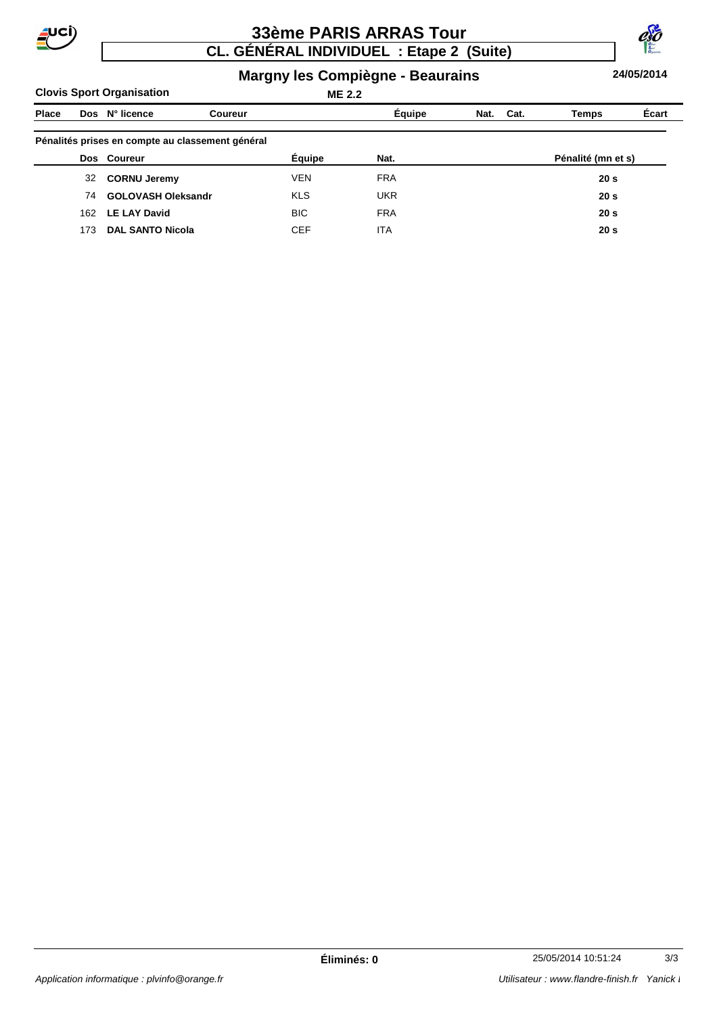

# **CL. GÉNÉRAL INDIVIDUEL : Etape 2 (Suite) 33ème PARIS ARRAS Tour**



#### **Margny les Compiègne - Beaurains**

**Clovis Sport Organisation**

# **ME 2.2**

**24/05/2014**

| Place |     | Dos N° licence                                   | <b>Coureur</b> |            | Équipe     | Nat. | Cat. | Temps              | Écart |
|-------|-----|--------------------------------------------------|----------------|------------|------------|------|------|--------------------|-------|
|       |     | Pénalités prises en compte au classement général |                |            |            |      |      |                    |       |
|       |     | Dos Coureur                                      |                | Équipe     | Nat.       |      |      | Pénalité (mn et s) |       |
|       | 32  | <b>CORNU Jeremy</b>                              |                | <b>VEN</b> | <b>FRA</b> |      |      | 20 <sub>s</sub>    |       |
|       | 74  | <b>GOLOVASH Oleksandr</b>                        |                | <b>KLS</b> | <b>UKR</b> |      |      | 20 <sub>s</sub>    |       |
|       | 162 | <b>LE LAY David</b>                              |                | <b>BIC</b> | <b>FRA</b> |      |      | 20 <sub>s</sub>    |       |
|       | 173 | <b>DAL SANTO Nicola</b>                          |                | <b>CEF</b> | <b>ITA</b> |      |      | 20 <sub>s</sub>    |       |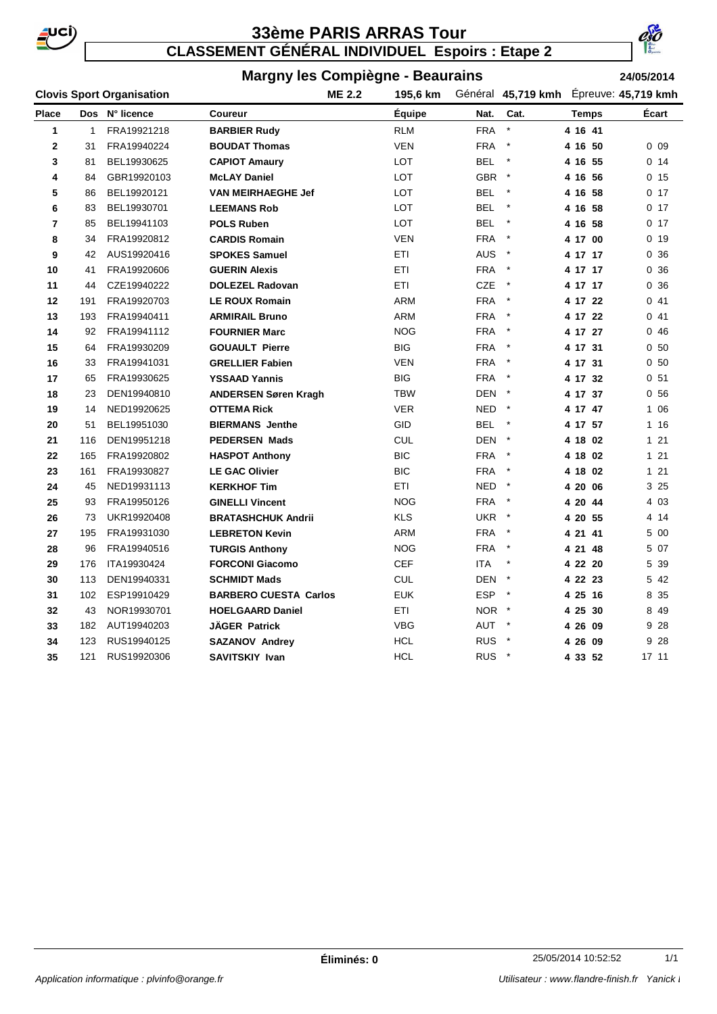

**CLASSEMENT GÉNÉRAL INDIVIDUEL Espoirs : Etape 2**



# **Margny les Compiègne - Beaurains**

**24/05/2014**

|                | <b>Clovis Sport Organisation</b> |                |                              | <b>ME 2.2</b> | 195,6 km      |                  | Général 45,719 kmh Epreuve: 45,719 kmh |         |                 |
|----------------|----------------------------------|----------------|------------------------------|---------------|---------------|------------------|----------------------------------------|---------|-----------------|
| <b>Place</b>   |                                  | Dos N° licence | Coureur                      |               | <b>Équipe</b> | Nat.             | Cat.                                   | Temps   | Écart           |
| 1              | $\mathbf{1}$                     | FRA19921218    | <b>BARBIER Rudy</b>          |               | RLM           | <b>FRA</b>       | $\star$                                | 4 16 41 |                 |
| $\mathbf 2$    | 31                               | FRA19940224    | <b>BOUDAT Thomas</b>         |               | <b>VEN</b>    | <b>FRA</b>       | $\star$                                | 4 16 50 | 0 <sub>09</sub> |
| 3              | 81                               | BEL19930625    | <b>CAPIOT Amaury</b>         |               | LOT           | BEL *            |                                        | 4 16 55 | 0.14            |
| 4              | 84                               | GBR19920103    | <b>McLAY Daniel</b>          |               | LOT           | GBR *            |                                        | 4 16 56 | 0.15            |
| 5              | 86                               | BEL19920121    | <b>VAN MEIRHAEGHE Jef</b>    |               | LOT           | <b>BEL</b>       | $\star$                                | 4 16 58 | 0 <sub>17</sub> |
| 6              | 83                               | BEL19930701    | <b>LEEMANS Rob</b>           |               | LOT           | <b>BEL</b>       | $\star$                                | 4 16 58 | 0 <sub>17</sub> |
| $\overline{7}$ | 85                               | BEL19941103    | <b>POLS Ruben</b>            |               | LOT           | <b>BEL</b>       | $\star$                                | 4 16 58 | 0 <sub>17</sub> |
| 8              | 34                               | FRA19920812    | <b>CARDIS Romain</b>         |               | <b>VEN</b>    | <b>FRA</b>       | $\star$                                | 4 17 00 | 0 <sub>19</sub> |
| 9              | 42                               | AUS19920416    | <b>SPOKES Samuel</b>         |               | ETI           | AUS <sup>*</sup> |                                        | 4 17 17 | 0.36            |
| 10             | 41                               | FRA19920606    | <b>GUERIN Alexis</b>         |               | ETI           | FRA *            |                                        | 4 17 17 | 0.36            |
| 11             | 44                               | CZE19940222    | <b>DOLEZEL Radovan</b>       |               | ETI           | CZE              | $\star$                                | 4 17 17 | 0.36            |
| 12             | 191                              | FRA19920703    | <b>LE ROUX Romain</b>        |               | ARM           | <b>FRA</b>       | $\rightarrow$                          | 4 17 22 | 041             |
| 13             | 193                              | FRA19940411    | <b>ARMIRAIL Bruno</b>        |               | <b>ARM</b>    | <b>FRA</b>       | $\rightarrow$                          | 4 17 22 | 041             |
| 14             | 92                               | FRA19941112    | <b>FOURNIER Marc</b>         |               | <b>NOG</b>    | <b>FRA</b>       | $\star$                                | 4 17 27 | 046             |
| 15             | 64                               | FRA19930209    | <b>GOUAULT Pierre</b>        |               | <b>BIG</b>    | <b>FRA</b>       | $\star$                                | 4 17 31 | 0 <sub>50</sub> |
| 16             | 33                               | FRA19941031    | <b>GRELLIER Fabien</b>       |               | <b>VEN</b>    | <b>FRA</b>       | $\star$                                | 4 17 31 | 0 <sub>50</sub> |
| 17             | 65                               | FRA19930625    | <b>YSSAAD Yannis</b>         |               | BIG           | FRA              | $\star$                                | 4 17 32 | 0 <sub>51</sub> |
| 18             | 23                               | DEN19940810    | <b>ANDERSEN Søren Kragh</b>  |               | <b>TBW</b>    | DEN *            |                                        | 4 17 37 | 0 <sub>56</sub> |
| 19             | 14                               | NED19920625    | <b>OTTEMA Rick</b>           |               | <b>VER</b>    | NED *            |                                        | 4 17 47 | 1 0 6           |
| 20             | 51                               | BEL19951030    | <b>BIERMANS Jenthe</b>       |               | GID           | <b>BEL</b>       | $\star$                                | 4 17 57 | 1 16            |
| 21             | 116                              | DEN19951218    | <b>PEDERSEN Mads</b>         |               | <b>CUL</b>    | DEN *            |                                        | 4 18 02 | 121             |
| 22             | 165                              | FRA19920802    | <b>HASPOT Anthony</b>        |               | <b>BIC</b>    | <b>FRA</b>       | $\star$                                | 4 18 02 | $121$           |
| 23             | 161                              | FRA19930827    | <b>LE GAC Olivier</b>        |               | <b>BIC</b>    | FRA              | $\star$                                | 4 18 02 | $121$           |
| 24             | 45                               | NED19931113    | <b>KERKHOF Tim</b>           |               | ETI           | NED *            |                                        | 4 20 06 | 3 25            |
| 25             | 93                               | FRA19950126    | <b>GINELLI Vincent</b>       |               | <b>NOG</b>    | FRA              | $\star$                                | 4 20 44 | 4 0 3           |
| 26             | 73                               | UKR19920408    | <b>BRATASHCHUK Andrii</b>    |               | <b>KLS</b>    | UKR *            |                                        | 4 20 55 | 4 14            |
| 27             | 195                              | FRA19931030    | <b>LEBRETON Kevin</b>        |               | <b>ARM</b>    | <b>FRA</b>       |                                        | 4 21 41 | 5 00            |
| 28             | 96                               | FRA19940516    | <b>TURGIS Anthony</b>        |               | <b>NOG</b>    | <b>FRA</b>       | $\star$                                | 4 21 48 | 5 07            |
| 29             | 176                              | ITA19930424    | <b>FORCONI Giacomo</b>       |               | CEF           | ITA              |                                        | 4 22 20 | 5 39            |
| 30             | 113                              | DEN19940331    | <b>SCHMIDT Mads</b>          |               | CUL           | DEN *            |                                        | 4 22 23 | 5 42            |
| 31             | 102                              | ESP19910429    | <b>BARBERO CUESTA Carlos</b> |               | <b>EUK</b>    | ESP *            |                                        | 4 25 16 | 8 35            |
| 32             | 43                               | NOR19930701    | <b>HOELGAARD Daniel</b>      |               | ETI           | NOR *            |                                        | 4 25 30 | 8 4 9           |
| 33             | 182                              | AUT19940203    | <b>JÄGER Patrick</b>         |               | <b>VBG</b>    | AUT *            |                                        | 4 26 09 | 9 28            |
| 34             | 123                              | RUS19940125    | <b>SAZANOV Andrey</b>        |               | <b>HCL</b>    | RUS <sup>*</sup> |                                        | 4 26 09 | 9 28            |
| 35             | 121                              | RUS19920306    | <b>SAVITSKIY Ivan</b>        |               | HCL           | RUS <sup>*</sup> |                                        | 43352   | 17 11           |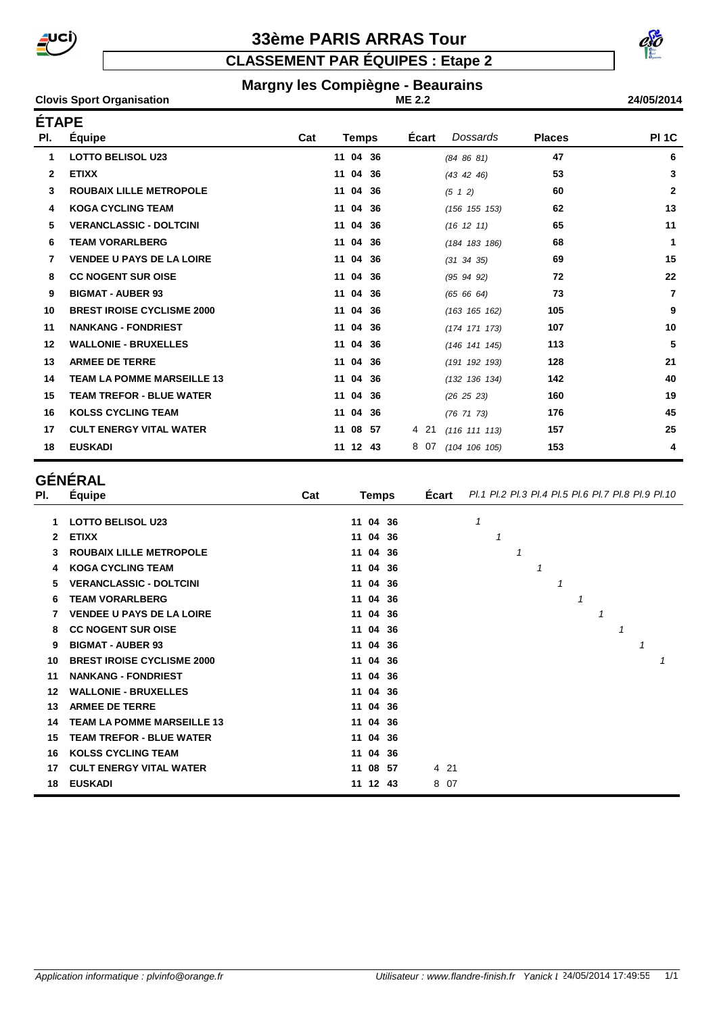

**CLASSEMENT PAR ÉQUIPES : Etape 2**

#### **Margny les Compiègne - Beaurains**

**ME 2.2**

#### **Clovis Sport Organisation 24/05/2014 ÉTAPE**

| EIAPE |                                   |     |              |       |                  |               |                |
|-------|-----------------------------------|-----|--------------|-------|------------------|---------------|----------------|
| PI.   | Équipe                            | Cat | Temps        | Écart | Dossards         | <b>Places</b> | <b>PI 1C</b>   |
| 1     | <b>LOTTO BELISOL U23</b>          |     | 11 04 36     |       | (84 86 81)       | 47            | 6              |
| 2     | <b>ETIXX</b>                      |     | 11 04 36     |       | (43 42 46)       | 53            | $\mathbf{3}$   |
| 3     | <b>ROUBAIX LILLE METROPOLE</b>    |     | 11 04 36     |       | $(5 \t1 \t2)$    | 60            | $\overline{2}$ |
| 4     | <b>KOGA CYCLING TEAM</b>          |     | 11 04 36     |       | (156 155 153)    | 62            | 13             |
| 5.    | <b>VERANCLASSIC - DOLTCINI</b>    |     | 11 04 36     |       | $(16 \t12 \t11)$ | 65            | 11             |
| 6     | <b>TEAM VORARLBERG</b>            |     | 11 04 36     |       | (184 183 186)    | 68            | $\mathbf{1}$   |
| 7     | <b>VENDEE U PAYS DE LA LOIRE</b>  |     | 11 04 36     |       | $(31 \ 34 \ 35)$ | 69            | 15             |
| 8     | <b>CC NOGENT SUR OISE</b>         |     | 11 04 36     |       | (95, 94, 92)     | 72            | 22             |
| 9     | <b>BIGMAT - AUBER 93</b>          |     | 11 04 36     |       | (65 66 64)       | 73            | $\overline{7}$ |
| 10    | <b>BREST IROISE CYCLISME 2000</b> |     | 11 04 36     |       | (163 165 162)    | 105           | 9              |
| 11    | <b>NANKANG - FONDRIEST</b>        |     | 11 04 36     |       | (174 171 173)    | 107           | 10             |
| 12    | <b>WALLONIE - BRUXELLES</b>       |     | 11 04 36     |       | (146 141 145)    | 113           | 5              |
| 13    | <b>ARMEE DE TERRE</b>             |     | 11 04 36     |       | (191 192 193)    | 128           | 21             |
| 14    | <b>TEAM LA POMME MARSEILLE 13</b> |     | 11 04 36     |       | (132 136 134)    | 142           | 40             |
| 15    | <b>TEAM TREFOR - BLUE WATER</b>   |     | 11 04 36     |       | (26 25 23)       | 160           | 19             |
| 16    | <b>KOLSS CYCLING TEAM</b>         |     | 11 04<br>-36 |       | $(76\ 71\ 73)$   | 176           | 45             |
| 17    | <b>CULT ENERGY VITAL WATER</b>    |     | 11 08<br>57  | 4 21  | (116 111 113)    | 157           | 25             |
| 18    | <b>EUSKADI</b>                    |     | 11 12 43     | 807   | (104 106 105)    | 153           | 4              |

# **GÉNÉRAL**

| PI. | Equipe                            | Cat | <b>Temps</b> | <b>Ecart</b> | Pl.1 Pl.2 Pl.3 Pl.4 Pl.5 Pl.6 Pl.7 Pl.8 Pl.9 Pl.10 |
|-----|-----------------------------------|-----|--------------|--------------|----------------------------------------------------|
|     | <b>LOTTO BELISOL U23</b>          |     | 11 04 36     |              | 1                                                  |
| 2   | <b>ETIXX</b>                      |     | 11 04 36     |              | 1                                                  |
|     | <b>ROUBAIX LILLE METROPOLE</b>    |     | 11 04 36     |              | 1                                                  |
| 4   | <b>KOGA CYCLING TEAM</b>          |     | 11 04 36     |              | 1                                                  |
| 5   | <b>VERANCLASSIC - DOLTCINI</b>    |     | 11 04 36     |              |                                                    |
| 6   | <b>TEAM VORARLBERG</b>            |     | 11 04 36     |              | 1                                                  |
|     | <b>VENDEE U PAYS DE LA LOIRE</b>  |     | 11 04 36     |              | 1                                                  |
| 8   | <b>CC NOGENT SUR OISE</b>         |     | 11 04 36     |              | 1                                                  |
| 9   | <b>BIGMAT - AUBER 93</b>          |     | 11 04 36     |              |                                                    |
| 10  | <b>BREST IROISE CYCLISME 2000</b> |     | 11 04 36     |              |                                                    |
| 11  | <b>NANKANG - FONDRIEST</b>        |     | 11 04 36     |              |                                                    |
| 12  | <b>WALLONIE - BRUXELLES</b>       |     | 11 04 36     |              |                                                    |
| 13  | <b>ARMEE DE TERRE</b>             |     | 11 04 36     |              |                                                    |
| 14  | <b>TEAM LA POMME MARSEILLE 13</b> |     | 11 04 36     |              |                                                    |
| 15  | <b>TEAM TREFOR - BLUE WATER</b>   |     | 11 04 36     |              |                                                    |
| 16  | <b>KOLSS CYCLING TEAM</b>         |     | 11 04 36     |              |                                                    |
| 17  | <b>CULT ENERGY VITAL WATER</b>    |     | 11 08 57     | 4 21         |                                                    |
| 18  | <b>EUSKADI</b>                    |     | 11 12 43     | 8 07         |                                                    |

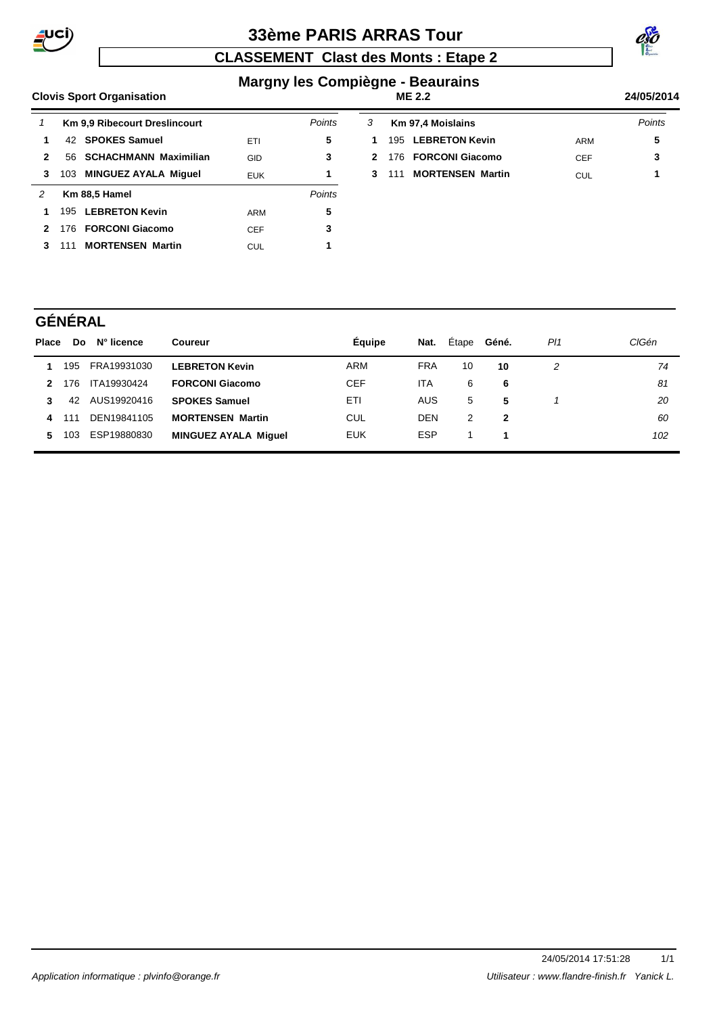

# **CLASSEMENT Clast des Monts : Etape 2**



#### **Margny les Compiègne - Beaurains ME 2.2**

#### **Clovis Sport Organisation 24/05/2014**

| 1 |     | <b>Km 9.9 Ribecourt Dreslincourt</b> |            | Points |
|---|-----|--------------------------------------|------------|--------|
| 1 |     | 42 SPOKES Samuel                     | ETI        | 5      |
| 2 |     | 56 SCHACHMANN Maximilian             | GID        | 3      |
| 3 | 103 | <b>MINGUEZ AYALA Miguel</b>          | <b>EUK</b> | 1      |
| 2 |     | Km 88,5 Hamel                        |            | Points |
| 1 |     | 195 LEBRETON Kevin                   | ARM        | 5      |
| 2 |     | 176 FORCONI Giacomo                  | <b>CEF</b> | 3      |
|   | 111 | <b>MORTENSEN Martin</b>              | CUL        | 1      |

| 3 | <b>Km 97,4 Moislains</b> |     | Points |
|---|--------------------------|-----|--------|
|   | 1 195 LEBRETON Kevin     | ARM | 5      |
|   | 2 176 FORCONI Giacomo    | CFF | -3     |
|   | 3 111 MORTENSEN Martin   | CUL | 1      |
|   |                          |     |        |

# **GÉNÉRAL**

| Place |     | Do N° licence | Coureur                     | Equipe     | Nat.       | Etape | Géné. | PI1 | CIGén |
|-------|-----|---------------|-----------------------------|------------|------------|-------|-------|-----|-------|
|       | 195 | FRA19931030   | <b>LEBRETON Kevin</b>       | ARM        | <b>FRA</b> | 10    | 10    | 2   | 74    |
| 2     | 176 | ITA19930424   | <b>FORCONI Giacomo</b>      | <b>CEF</b> | <b>ITA</b> | 6     | 6     |     | 81    |
| 3     | 42  | AUS19920416   | <b>SPOKES Samuel</b>        | ETI        | <b>AUS</b> | 5     | -5    |     | 20    |
|       | 111 | DEN19841105   | <b>MORTENSEN Martin</b>     | CUL        | <b>DEN</b> | 2     | 2     |     | 60    |
| 5.    | 103 | ESP19880830   | <b>MINGUEZ AYALA Miquel</b> | <b>EUK</b> | <b>ESP</b> |       |       |     | 102   |
|       |     |               |                             |            |            |       |       |     |       |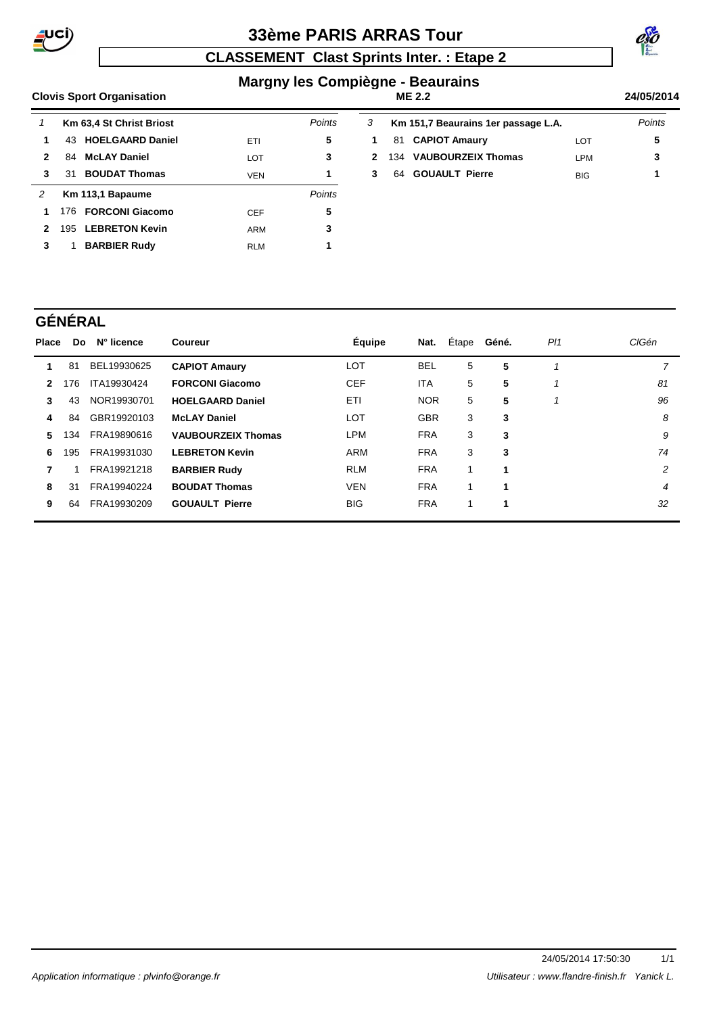

# **CLASSEMENT Clast Sprints Inter. : Etape 2**



#### **Margny les Compiègne - Beaurains ME 2.2**

#### **Clovis Sport Organisation 24/05/2014**

|              | Km 63,4 St Christ Briost     |            | Points | 3            |     | Km 151,7 Beaurains 1er passage L.A. |            | Points |
|--------------|------------------------------|------------|--------|--------------|-----|-------------------------------------|------------|--------|
|              | 43 HOELGAARD Daniel          | ETI        | 5      | 1            |     | 81 CAPIOT Amaury                    | LOT        | 5      |
| $\mathbf{2}$ | <b>McLAY Daniel</b><br>84    | <b>LOT</b> | 3      | $\mathbf{2}$ | 134 | <b>VAUBOURZEIX Thomas</b>           | <b>LPM</b> | 3      |
| 3            | <b>BOUDAT Thomas</b><br>31   | VEN        |        | 3            | 64  | <b>GOUAULT Pierre</b>               | <b>BIG</b> | 1      |
| 2            | Km 113,1 Bapaume             |            | Points |              |     |                                     |            |        |
| 1            | 176 FORCONI Giacomo          | <b>CEF</b> | 5      |              |     |                                     |            |        |
| 2            | <b>LEBRETON Kevin</b><br>195 | ARM        | 3      |              |     |                                     |            |        |
| 3            | <b>BARBIER Rudy</b>          | <b>RLM</b> |        |              |     |                                     |            |        |

### **GÉNÉRAL**

| <b>Place</b>  | Do  | N° licence  | Coureur                   | <b>Équipe</b> | Nat.       | Étape | Géné. | PI1 | CIGén |
|---------------|-----|-------------|---------------------------|---------------|------------|-------|-------|-----|-------|
|               | 81  | BEL19930625 | <b>CAPIOT Amaury</b>      | LOT           | <b>BEL</b> | 5     | 5     |     | 7     |
| $\mathcal{P}$ | 176 | ITA19930424 | <b>FORCONI Giacomo</b>    | <b>CEF</b>    | <b>ITA</b> | 5     | 5     | 1   | 81    |
| 3             | 43  | NOR19930701 | <b>HOELGAARD Daniel</b>   | ETI           | <b>NOR</b> | 5     | 5     |     | 96    |
| 4             | 84  | GBR19920103 | <b>McLAY Daniel</b>       | LOT           | <b>GBR</b> | 3     | 3     |     | 8     |
| 5.            | 134 | FRA19890616 | <b>VAUBOURZEIX Thomas</b> | LPM           | <b>FRA</b> | 3     | 3     |     | 9     |
| 6             | 195 | FRA19931030 | <b>LEBRETON Kevin</b>     | <b>ARM</b>    | <b>FRA</b> | 3     | 3     |     | 74    |
| 7             |     | FRA19921218 | <b>BARBIER Rudy</b>       | <b>RLM</b>    | <b>FRA</b> |       | 1     |     | 2     |
| 8             | 31  | FRA19940224 | <b>BOUDAT Thomas</b>      | <b>VEN</b>    | <b>FRA</b> |       | 1     |     | 4     |
| 9             | 64  | FRA19930209 | <b>GOUAULT Pierre</b>     | <b>BIG</b>    | <b>FRA</b> |       | 1     |     | 32    |
|               |     |             |                           |               |            |       |       |     |       |